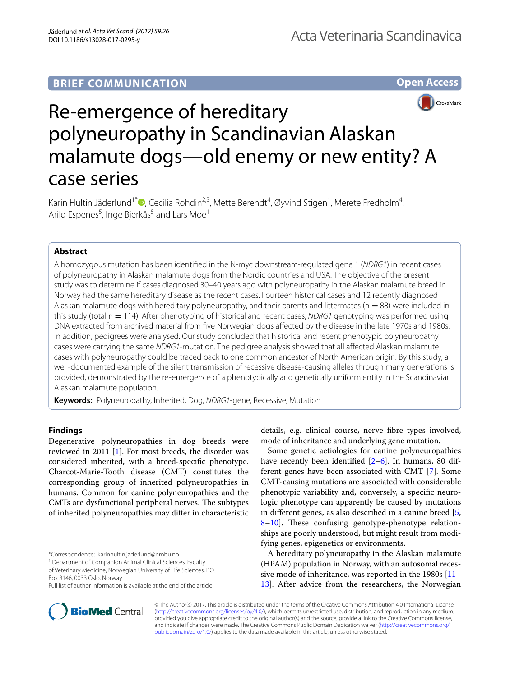# **BRIEF COMMUNICATION**





# Re-emergence of hereditary polyneuropathy in Scandinavian Alaskan malamute dogs—old enemy or new entity? A case series

Karin Hultin Jäderlund<sup>1[\\*](http://orcid.org/0000-0002-3552-1135)</sup> $\Phi$ , Cecilia Rohdin<sup>2,3</sup>, Mette Berendt<sup>4</sup>, Øyvind Stigen<sup>1</sup>, Merete Fredholm<sup>4</sup>, Arild Espenes<sup>5</sup>, Inge Bjerkås<sup>5</sup> and Lars Moe<sup>1</sup>

# **Abstract**

A homozygous mutation has been identifed in the N-myc downstream-regulated gene 1 (*NDRG1*) in recent cases of polyneuropathy in Alaskan malamute dogs from the Nordic countries and USA. The objective of the present study was to determine if cases diagnosed 30–40 years ago with polyneuropathy in the Alaskan malamute breed in Norway had the same hereditary disease as the recent cases. Fourteen historical cases and 12 recently diagnosed Alaskan malamute dogs with hereditary polyneuropathy, and their parents and littermates ( $n = 88$ ) were included in this study (total n = 114). After phenotyping of historical and recent cases, *NDRG1* genotyping was performed using DNA extracted from archived material from fve Norwegian dogs afected by the disease in the late 1970s and 1980s. In addition, pedigrees were analysed. Our study concluded that historical and recent phenotypic polyneuropathy cases were carrying the same *NDRG1*-mutation. The pedigree analysis showed that all afected Alaskan malamute cases with polyneuropathy could be traced back to one common ancestor of North American origin. By this study, a well-documented example of the silent transmission of recessive disease-causing alleles through many generations is provided, demonstrated by the re-emergence of a phenotypically and genetically uniform entity in the Scandinavian Alaskan malamute population.

**Keywords:** Polyneuropathy, Inherited, Dog, *NDRG1*-gene, Recessive, Mutation

## **Findings**

Degenerative polyneuropathies in dog breeds were reviewed in 2011 [\[1](#page-3-0)]. For most breeds, the disorder was considered inherited, with a breed-specifc phenotype. Charcot-Marie-Tooth disease (CMT) constitutes the corresponding group of inherited polyneuropathies in humans. Common for canine polyneuropathies and the CMTs are dysfunctional peripheral nerves. The subtypes of inherited polyneuropathies may difer in characteristic

<sup>1</sup> Department of Companion Animal Clinical Sciences, Faculty

of Veterinary Medicine, Norwegian University of Life Sciences, P.O. Box 8146, 0033 Oslo, Norway



Some genetic aetiologies for canine polyneuropathies have recently been identified [[2](#page-3-1)[–6](#page-3-2)]. In humans, 80 different genes have been associated with CMT [[7\]](#page-3-3). Some CMT-causing mutations are associated with considerable phenotypic variability and, conversely, a specifc neurologic phenotype can apparently be caused by mutations in diferent genes, as also described in a canine breed [\[5](#page-3-4),  $8-10$  $8-10$ ]. These confusing genotype-phenotype relationships are poorly understood, but might result from modifying genes, epigenetics or environments.

A hereditary polyneuropathy in the Alaskan malamute (HPAM) population in Norway, with an autosomal recessive mode of inheritance, was reported in the 1980s [[11–](#page-3-7) [13\]](#page-3-8). After advice from the researchers, the Norwegian



© The Author(s) 2017. This article is distributed under the terms of the Creative Commons Attribution 4.0 International License [\(http://creativecommons.org/licenses/by/4.0/\)](http://creativecommons.org/licenses/by/4.0/), which permits unrestricted use, distribution, and reproduction in any medium, provided you give appropriate credit to the original author(s) and the source, provide a link to the Creative Commons license, and indicate if changes were made. The Creative Commons Public Domain Dedication waiver ([http://creativecommons.org/](http://creativecommons.org/publicdomain/zero/1.0/) [publicdomain/zero/1.0/](http://creativecommons.org/publicdomain/zero/1.0/)) applies to the data made available in this article, unless otherwise stated.

<sup>\*</sup>Correspondence: karinhultin.jaderlund@nmbu.no

Full list of author information is available at the end of the article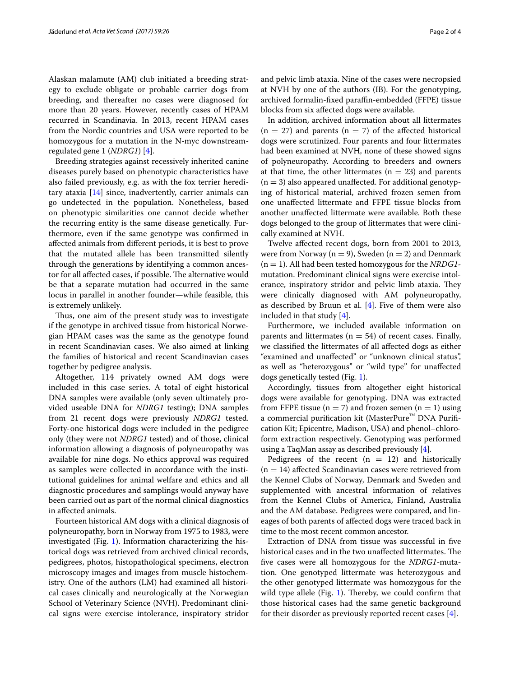Alaskan malamute (AM) club initiated a breeding strategy to exclude obligate or probable carrier dogs from breeding, and thereafter no cases were diagnosed for more than 20 years. However, recently cases of HPAM recurred in Scandinavia. In 2013, recent HPAM cases from the Nordic countries and USA were reported to be homozygous for a mutation in the N-myc downstreamregulated gene 1 (*NDRG1*) [\[4](#page-3-9)].

Breeding strategies against recessively inherited canine diseases purely based on phenotypic characteristics have also failed previously, e.g. as with the fox terrier hereditary ataxia [[14](#page-3-10)] since, inadvertently, carrier animals can go undetected in the population. Nonetheless, based on phenotypic similarities one cannot decide whether the recurring entity is the same disease genetically. Furthermore, even if the same genotype was confrmed in afected animals from diferent periods, it is best to prove that the mutated allele has been transmitted silently through the generations by identifying a common ancestor for all affected cases, if possible. The alternative would be that a separate mutation had occurred in the same locus in parallel in another founder—while feasible, this is extremely unlikely.

Thus, one aim of the present study was to investigate if the genotype in archived tissue from historical Norwegian HPAM cases was the same as the genotype found in recent Scandinavian cases. We also aimed at linking the families of historical and recent Scandinavian cases together by pedigree analysis.

Altogether, 114 privately owned AM dogs were included in this case series. A total of eight historical DNA samples were available (only seven ultimately provided useable DNA for *NDRG1* testing); DNA samples from 21 recent dogs were previously *NDRG1* tested. Forty-one historical dogs were included in the pedigree only (they were not *NDRG1* tested) and of those, clinical information allowing a diagnosis of polyneuropathy was available for nine dogs. No ethics approval was required as samples were collected in accordance with the institutional guidelines for animal welfare and ethics and all diagnostic procedures and samplings would anyway have been carried out as part of the normal clinical diagnostics in afected animals.

Fourteen historical AM dogs with a clinical diagnosis of polyneuropathy, born in Norway from 1975 to 1983, were investigated (Fig. [1](#page-2-0)). Information characterizing the historical dogs was retrieved from archived clinical records, pedigrees, photos, histopathological specimens, electron microscopy images and images from muscle histochemistry. One of the authors (LM) had examined all historical cases clinically and neurologically at the Norwegian School of Veterinary Science (NVH). Predominant clinical signs were exercise intolerance, inspiratory stridor and pelvic limb ataxia. Nine of the cases were necropsied at NVH by one of the authors (IB). For the genotyping, archived formalin-fxed parafn-embedded (FFPE) tissue blocks from six afected dogs were available.

In addition, archived information about all littermates  $(n = 27)$  and parents  $(n = 7)$  of the affected historical dogs were scrutinized. Four parents and four littermates had been examined at NVH, none of these showed signs of polyneuropathy. According to breeders and owners at that time, the other littermates ( $n = 23$ ) and parents  $(n = 3)$  also appeared unaffected. For additional genotyping of historical material, archived frozen semen from one unafected littermate and FFPE tissue blocks from another unafected littermate were available. Both these dogs belonged to the group of littermates that were clinically examined at NVH.

Twelve afected recent dogs, born from 2001 to 2013, were from Norway ( $n = 9$ ), Sweden ( $n = 2$ ) and Denmark (n = 1). All had been tested homozygous for the *NRDG1* mutation. Predominant clinical signs were exercise intolerance, inspiratory stridor and pelvic limb ataxia. They were clinically diagnosed with AM polyneuropathy, as described by Bruun et al.  $[4]$  $[4]$ . Five of them were also included in that study [\[4\]](#page-3-9).

Furthermore, we included available information on parents and littermates ( $n = 54$ ) of recent cases. Finally, we classifed the littermates of all afected dogs as either "examined and unafected" or "unknown clinical status", as well as "heterozygous" or "wild type" for unafected dogs genetically tested (Fig. [1](#page-2-0)).

Accordingly, tissues from altogether eight historical dogs were available for genotyping. DNA was extracted from FFPE tissue ( $n = 7$ ) and frozen semen ( $n = 1$ ) using a commercial purification kit (MasterPure™ DNA Purification Kit; Epicentre, Madison, USA) and phenol–chloroform extraction respectively. Genotyping was performed using a TaqMan assay as described previously [[4\]](#page-3-9).

Pedigrees of the recent  $(n = 12)$  and historically  $(n = 14)$  affected Scandinavian cases were retrieved from the Kennel Clubs of Norway, Denmark and Sweden and supplemented with ancestral information of relatives from the Kennel Clubs of America, Finland, Australia and the AM database. Pedigrees were compared, and lineages of both parents of afected dogs were traced back in time to the most recent common ancestor.

Extraction of DNA from tissue was successful in fve historical cases and in the two unaffected littermates. The fve cases were all homozygous for the *NDRG1*-mutation. One genotyped littermate was heterozygous and the other genotyped littermate was homozygous for the wild type allele (Fig.  $1$ ). Thereby, we could confirm that those historical cases had the same genetic background for their disorder as previously reported recent cases [[4\]](#page-3-9).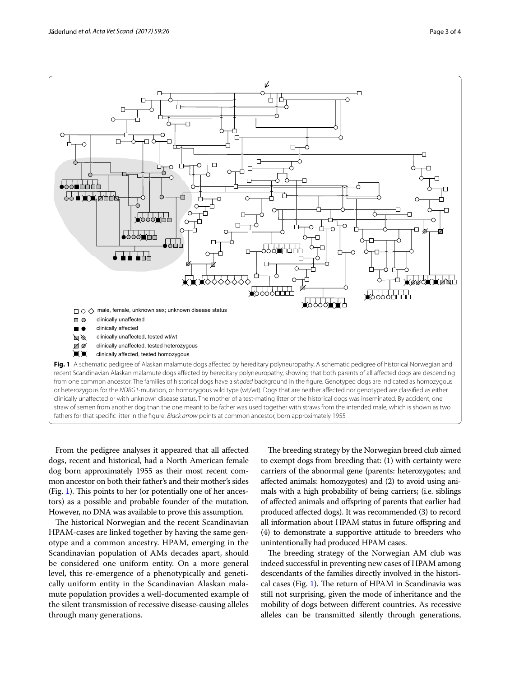

<span id="page-2-0"></span>From the pedigree analyses it appeared that all afected dogs, recent and historical, had a North American female dog born approximately 1955 as their most recent common ancestor on both their father's and their mother's sides  $(Fig. 1)$  $(Fig. 1)$  $(Fig. 1)$ . This points to her (or potentially one of her ancestors) as a possible and probable founder of the mutation. However, no DNA was available to prove this assumption.

The historical Norwegian and the recent Scandinavian HPAM-cases are linked together by having the same genotype and a common ancestry. HPAM, emerging in the Scandinavian population of AMs decades apart, should be considered one uniform entity. On a more general level, this re-emergence of a phenotypically and genetically uniform entity in the Scandinavian Alaskan malamute population provides a well-documented example of the silent transmission of recessive disease-causing alleles through many generations.

The breeding strategy by the Norwegian breed club aimed to exempt dogs from breeding that: (1) with certainty were carriers of the abnormal gene (parents: heterozygotes; and afected animals: homozygotes) and (2) to avoid using animals with a high probability of being carriers; (i.e. siblings of afected animals and ofspring of parents that earlier had produced afected dogs). It was recommended (3) to record all information about HPAM status in future ofspring and (4) to demonstrate a supportive attitude to breeders who unintentionally had produced HPAM cases.

The breeding strategy of the Norwegian AM club was indeed successful in preventing new cases of HPAM among descendants of the families directly involved in the histori-cal cases (Fig. [1\)](#page-2-0). The return of HPAM in Scandinavia was still not surprising, given the mode of inheritance and the mobility of dogs between diferent countries. As recessive alleles can be transmitted silently through generations,